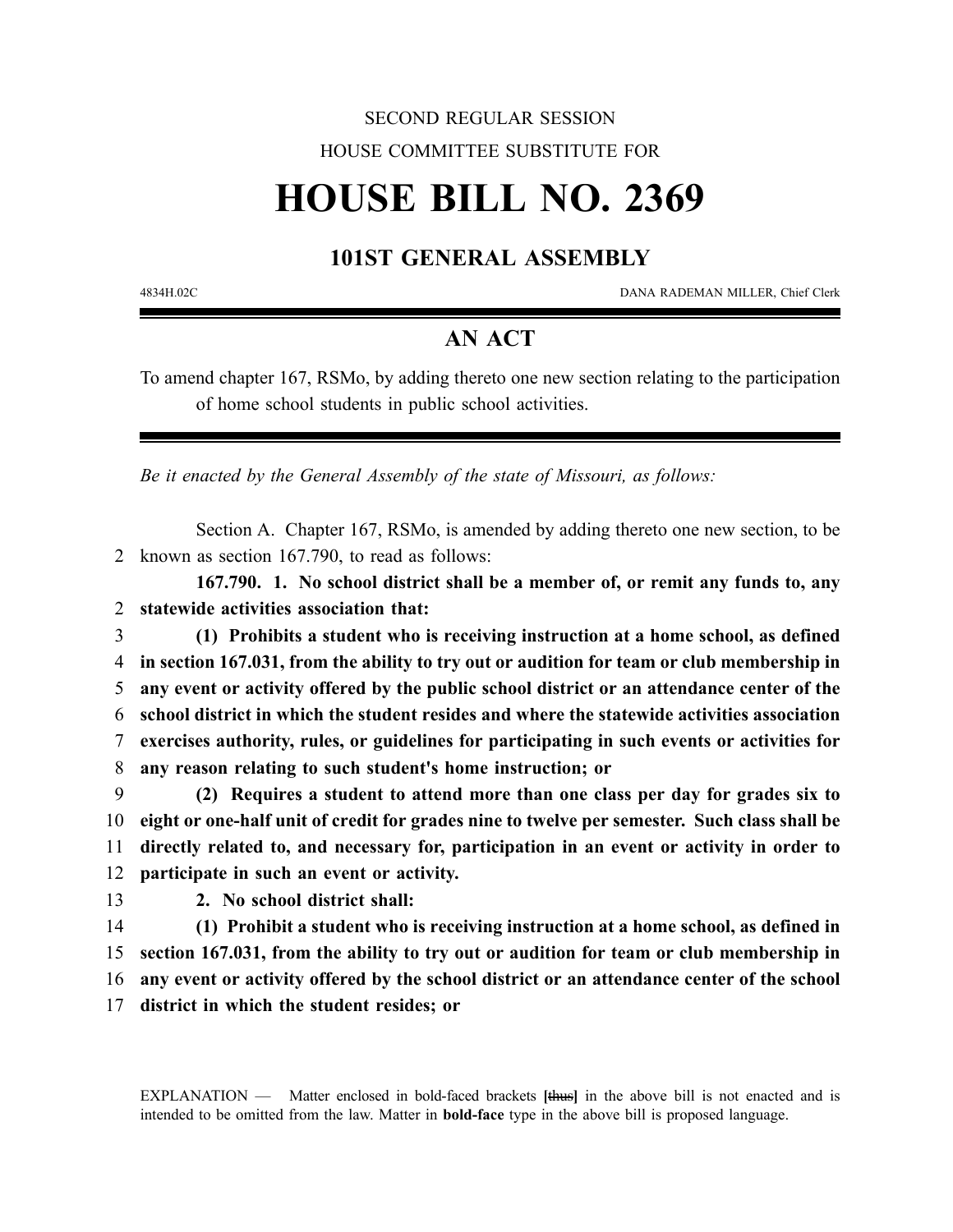## SECOND REGULAR SESSION HOUSE COMMITTEE SUBSTITUTE FOR

# **HOUSE BILL NO. 2369**

### **101ST GENERAL ASSEMBLY**

4834H.02C DANA RADEMAN MILLER, Chief Clerk

#### **AN ACT**

To amend chapter 167, RSMo, by adding thereto one new section relating to the participation of home school students in public school activities.

*Be it enacted by the General Assembly of the state of Missouri, as follows:*

Section A. Chapter 167, RSMo, is amended by adding thereto one new section, to be 2 known as section 167.790, to read as follows:

**167.790. 1. No school district shall be a member of, or remit any funds to, any** 2 **statewide activities association that:**

 **(1) Prohibits a student who is receiving instruction at a home school, as defined in section 167.031, from the ability to try out or audition for team or club membership in any event or activity offered by the public school district or an attendance center of the school district in which the student resides and where the statewide activities association exercises authority, rules, or guidelines for participating in such events or activities for any reason relating to such student's home instruction; or**

 **(2) Requires a student to attend more than one class per day for grades six to eight or one-half unit of credit for grades nine to twelve per semester. Such class shall be directly related to, and necessary for, participation in an event or activity in order to participate in such an event or activity.**

13 **2. No school district shall:**

 **(1) Prohibit a student who is receiving instruction at a home school, as defined in section 167.031, from the ability to try out or audition for team or club membership in any event or activity offered by the school district or an attendance center of the school district in which the student resides; or**

EXPLANATION — Matter enclosed in bold-faced brackets **[**thus**]** in the above bill is not enacted and is intended to be omitted from the law. Matter in **bold-face** type in the above bill is proposed language.